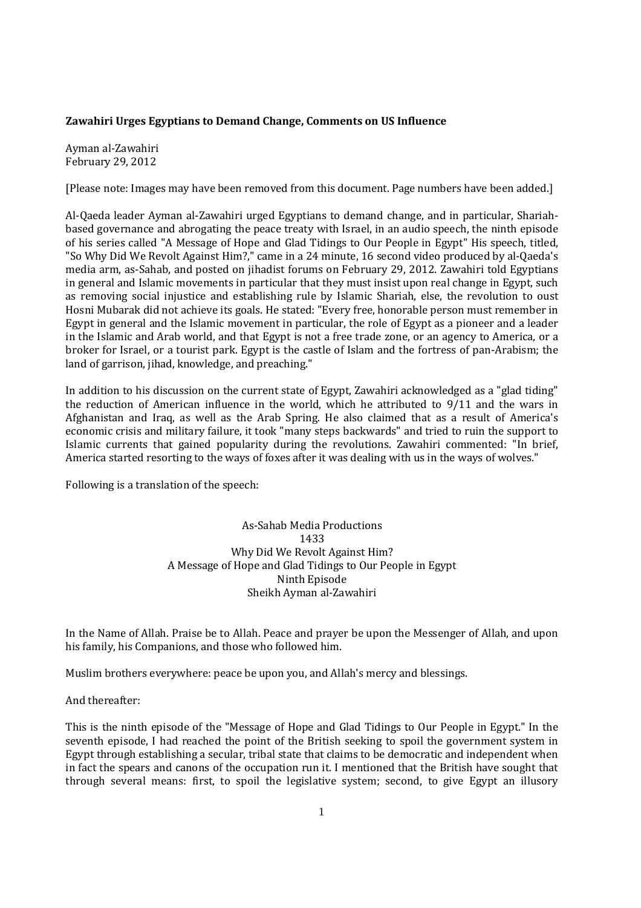## **Zawahiri Urges Egyptians to Demand Change, Comments on US Influence**

Ayman al-Zawahiri February 29, 2012

[Please note: Images may have been removed from this document. Page numbers have been added.]

Al-Qaeda leader Ayman al-Zawahiri urged Egyptians to demand change, and in particular, Shariahbased governance and abrogating the peace treaty with Israel, in an audio speech, the ninth episode of his series called "A Message of Hope and Glad Tidings to Our People in Egypt" His speech, titled, "So Why Did We Revolt Against Him?," came in a 24 minute, 16 second video produced by al-Qaeda's media arm, as-Sahab, and posted on jihadist forums on February 29, 2012. Zawahiri told Egyptians in general and Islamic movements in particular that they must insist upon real change in Egypt, such as removing social injustice and establishing rule by Islamic Shariah, else, the revolution to oust Hosni Mubarak did not achieve its goals. He stated: "Every free, honorable person must remember in Egypt in general and the Islamic movement in particular, the role of Egypt as a pioneer and a leader in the Islamic and Arab world, and that Egypt is not a free trade zone, or an agency to America, or a broker for Israel, or a tourist park. Egypt is the castle of Islam and the fortress of pan-Arabism; the land of garrison, jihad, knowledge, and preaching."

In addition to his discussion on the current state of Egypt, Zawahiri acknowledged as a "glad tiding" the reduction of American influence in the world, which he attributed to 9/11 and the wars in Afghanistan and Iraq, as well as the Arab Spring. He also claimed that as a result of America's economic crisis and military failure, it took "many steps backwards" and tried to ruin the support to Islamic currents that gained popularity during the revolutions. Zawahiri commented: "In brief, America started resorting to the ways of foxes after it was dealing with us in the ways of wolves."

Following is a translation of the speech:

As-Sahab Media Productions 1433 Why Did We Revolt Against Him? A Message of Hope and Glad Tidings to Our People in Egypt Ninth Episode Sheikh Ayman al-Zawahiri

In the Name of Allah. Praise be to Allah. Peace and prayer be upon the Messenger of Allah, and upon his family, his Companions, and those who followed him.

Muslim brothers everywhere: peace be upon you, and Allah's mercy and blessings.

And thereafter:

This is the ninth episode of the "Message of Hope and Glad Tidings to Our People in Egypt." In the seventh episode, I had reached the point of the British seeking to spoil the government system in Egypt through establishing a secular, tribal state that claims to be democratic and independent when in fact the spears and canons of the occupation run it. I mentioned that the British have sought that through several means: first, to spoil the legislative system; second, to give Egypt an illusory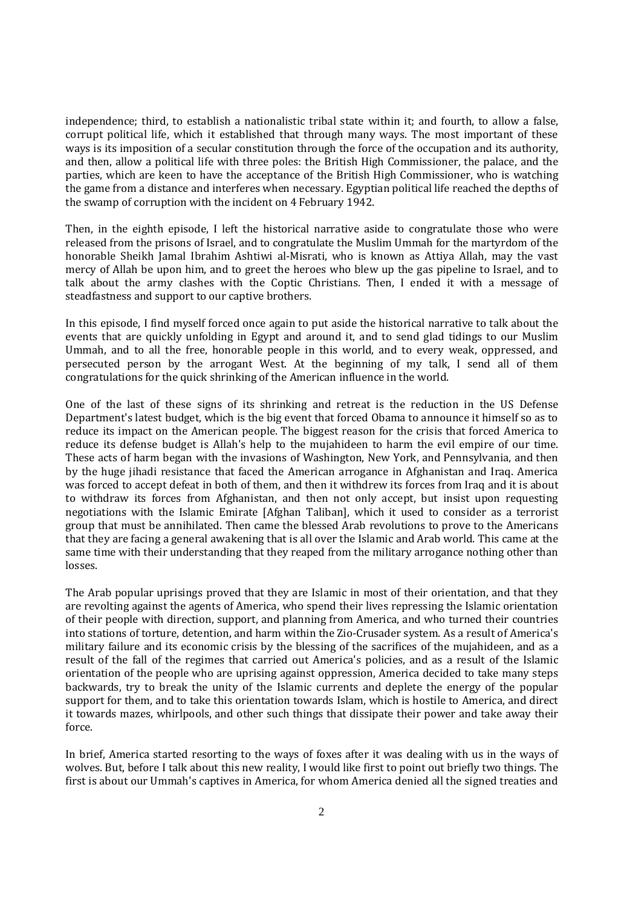independence; third, to establish a nationalistic tribal state within it; and fourth, to allow a false, corrupt political life, which it established that through many ways. The most important of these ways is its imposition of a secular constitution through the force of the occupation and its authority, and then, allow a political life with three poles: the British High Commissioner, the palace, and the parties, which are keen to have the acceptance of the British High Commissioner, who is watching the game from a distance and interferes when necessary. Egyptian political life reached the depths of the swamp of corruption with the incident on 4 February 1942.

Then, in the eighth episode, I left the historical narrative aside to congratulate those who were released from the prisons of Israel, and to congratulate the Muslim Ummah for the martyrdom of the honorable Sheikh Jamal Ibrahim Ashtiwi al-Misrati, who is known as Attiya Allah, may the vast mercy of Allah be upon him, and to greet the heroes who blew up the gas pipeline to Israel, and to talk about the army clashes with the Coptic Christians. Then, I ended it with a message of steadfastness and support to our captive brothers.

In this episode, I find myself forced once again to put aside the historical narrative to talk about the events that are quickly unfolding in Egypt and around it, and to send glad tidings to our Muslim Ummah, and to all the free, honorable people in this world, and to every weak, oppressed, and persecuted person by the arrogant West. At the beginning of my talk, I send all of them congratulations for the quick shrinking of the American influence in the world.

One of the last of these signs of its shrinking and retreat is the reduction in the US Defense Department's latest budget, which is the big event that forced Obama to announce it himself so as to reduce its impact on the American people. The biggest reason for the crisis that forced America to reduce its defense budget is Allah's help to the mujahideen to harm the evil empire of our time. These acts of harm began with the invasions of Washington, New York, and Pennsylvania, and then by the huge jihadi resistance that faced the American arrogance in Afghanistan and Iraq. America was forced to accept defeat in both of them, and then it withdrew its forces from Iraq and it is about to withdraw its forces from Afghanistan, and then not only accept, but insist upon requesting negotiations with the Islamic Emirate [Afghan Taliban], which it used to consider as a terrorist group that must be annihilated. Then came the blessed Arab revolutions to prove to the Americans that they are facing a general awakening that is all over the Islamic and Arab world. This came at the same time with their understanding that they reaped from the military arrogance nothing other than losses.

The Arab popular uprisings proved that they are Islamic in most of their orientation, and that they are revolting against the agents of America, who spend their lives repressing the Islamic orientation of their people with direction, support, and planning from America, and who turned their countries into stations of torture, detention, and harm within the Zio-Crusader system. As a result of America's military failure and its economic crisis by the blessing of the sacrifices of the mujahideen, and as a result of the fall of the regimes that carried out America's policies, and as a result of the Islamic orientation of the people who are uprising against oppression, America decided to take many steps backwards, try to break the unity of the Islamic currents and deplete the energy of the popular support for them, and to take this orientation towards Islam, which is hostile to America, and direct it towards mazes, whirlpools, and other such things that dissipate their power and take away their force.

In brief, America started resorting to the ways of foxes after it was dealing with us in the ways of wolves. But, before I talk about this new reality, I would like first to point out briefly two things. The first is about our Ummah's captives in America, for whom America denied all the signed treaties and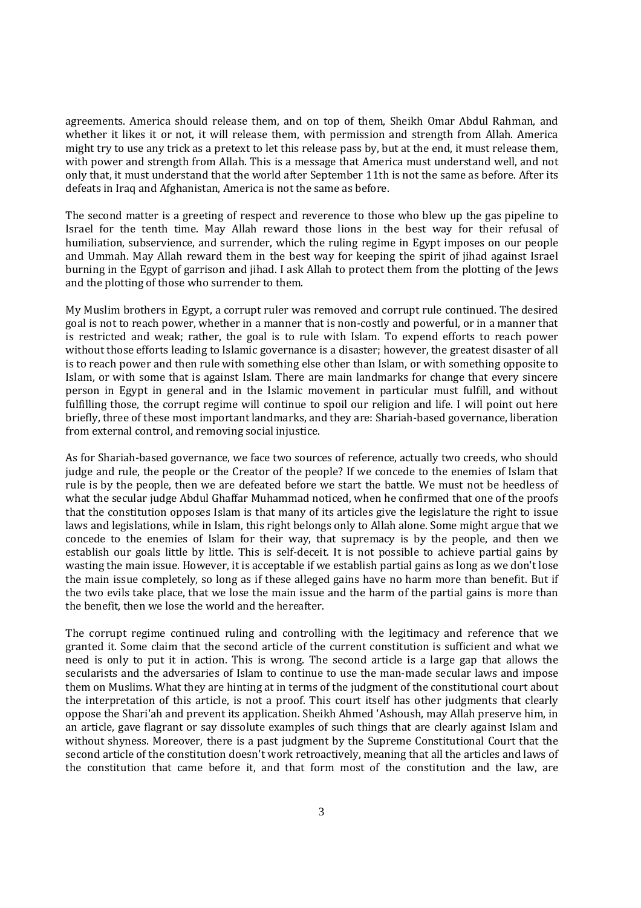agreements. America should release them, and on top of them, Sheikh Omar Abdul Rahman, and whether it likes it or not, it will release them, with permission and strength from Allah. America might try to use any trick as a pretext to let this release pass by, but at the end, it must release them, with power and strength from Allah. This is a message that America must understand well, and not only that, it must understand that the world after September 11th is not the same as before. After its defeats in Iraq and Afghanistan, America is not the same as before.

The second matter is a greeting of respect and reverence to those who blew up the gas pipeline to Israel for the tenth time. May Allah reward those lions in the best way for their refusal of humiliation, subservience, and surrender, which the ruling regime in Egypt imposes on our people and Ummah. May Allah reward them in the best way for keeping the spirit of jihad against Israel burning in the Egypt of garrison and jihad. I ask Allah to protect them from the plotting of the Jews and the plotting of those who surrender to them.

My Muslim brothers in Egypt, a corrupt ruler was removed and corrupt rule continued. The desired goal is not to reach power, whether in a manner that is non-costly and powerful, or in a manner that is restricted and weak; rather, the goal is to rule with Islam. To expend efforts to reach power without those efforts leading to Islamic governance is a disaster; however, the greatest disaster of all is to reach power and then rule with something else other than Islam, or with something opposite to Islam, or with some that is against Islam. There are main landmarks for change that every sincere person in Egypt in general and in the Islamic movement in particular must fulfill, and without fulfilling those, the corrupt regime will continue to spoil our religion and life. I will point out here briefly, three of these most important landmarks, and they are: Shariah-based governance, liberation from external control, and removing social injustice.

As for Shariah-based governance, we face two sources of reference, actually two creeds, who should judge and rule, the people or the Creator of the people? If we concede to the enemies of Islam that rule is by the people, then we are defeated before we start the battle. We must not be heedless of what the secular judge Abdul Ghaffar Muhammad noticed, when he confirmed that one of the proofs that the constitution opposes Islam is that many of its articles give the legislature the right to issue laws and legislations, while in Islam, this right belongs only to Allah alone. Some might argue that we concede to the enemies of Islam for their way, that supremacy is by the people, and then we establish our goals little by little. This is self-deceit. It is not possible to achieve partial gains by wasting the main issue. However, it is acceptable if we establish partial gains as long as we don't lose the main issue completely, so long as if these alleged gains have no harm more than benefit. But if the two evils take place, that we lose the main issue and the harm of the partial gains is more than the benefit, then we lose the world and the hereafter.

The corrupt regime continued ruling and controlling with the legitimacy and reference that we granted it. Some claim that the second article of the current constitution is sufficient and what we need is only to put it in action. This is wrong. The second article is a large gap that allows the secularists and the adversaries of Islam to continue to use the man-made secular laws and impose them on Muslims. What they are hinting at in terms of the judgment of the constitutional court about the interpretation of this article, is not a proof. This court itself has other judgments that clearly oppose the Shari'ah and prevent its application. Sheikh Ahmed 'Ashoush, may Allah preserve him, in an article, gave flagrant or say dissolute examples of such things that are clearly against Islam and without shyness. Moreover, there is a past judgment by the Supreme Constitutional Court that the second article of the constitution doesn't work retroactively, meaning that all the articles and laws of the constitution that came before it, and that form most of the constitution and the law, are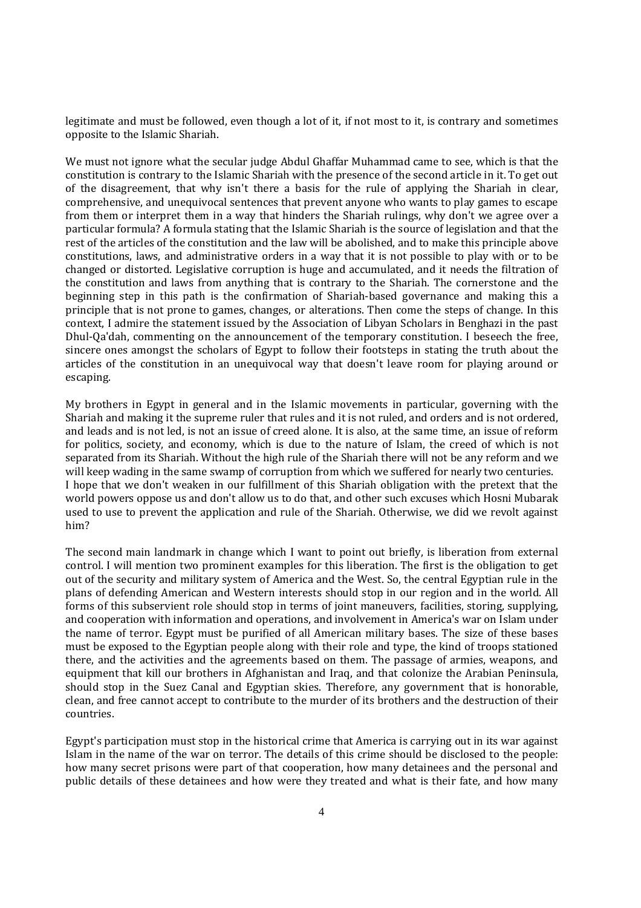legitimate and must be followed, even though a lot of it, if not most to it, is contrary and sometimes opposite to the Islamic Shariah.

We must not ignore what the secular judge Abdul Ghaffar Muhammad came to see, which is that the constitution is contrary to the Islamic Shariah with the presence of the second article in it. To get out of the disagreement, that why isn't there a basis for the rule of applying the Shariah in clear, comprehensive, and unequivocal sentences that prevent anyone who wants to play games to escape from them or interpret them in a way that hinders the Shariah rulings, why don't we agree over a particular formula? A formula stating that the Islamic Shariah is the source of legislation and that the rest of the articles of the constitution and the law will be abolished, and to make this principle above constitutions, laws, and administrative orders in a way that it is not possible to play with or to be changed or distorted. Legislative corruption is huge and accumulated, and it needs the filtration of the constitution and laws from anything that is contrary to the Shariah. The cornerstone and the beginning step in this path is the confirmation of Shariah-based governance and making this a principle that is not prone to games, changes, or alterations. Then come the steps of change. In this context, I admire the statement issued by the Association of Libyan Scholars in Benghazi in the past Dhul-Qa'dah, commenting on the announcement of the temporary constitution. I beseech the free, sincere ones amongst the scholars of Egypt to follow their footsteps in stating the truth about the articles of the constitution in an unequivocal way that doesn't leave room for playing around or escaping.

My brothers in Egypt in general and in the Islamic movements in particular, governing with the Shariah and making it the supreme ruler that rules and it is not ruled, and orders and is not ordered, and leads and is not led, is not an issue of creed alone. It is also, at the same time, an issue of reform for politics, society, and economy, which is due to the nature of Islam, the creed of which is not separated from its Shariah. Without the high rule of the Shariah there will not be any reform and we will keep wading in the same swamp of corruption from which we suffered for nearly two centuries. I hope that we don't weaken in our fulfillment of this Shariah obligation with the pretext that the world powers oppose us and don't allow us to do that, and other such excuses which Hosni Mubarak used to use to prevent the application and rule of the Shariah. Otherwise, we did we revolt against him?

The second main landmark in change which I want to point out briefly, is liberation from external control. I will mention two prominent examples for this liberation. The first is the obligation to get out of the security and military system of America and the West. So, the central Egyptian rule in the plans of defending American and Western interests should stop in our region and in the world. All forms of this subservient role should stop in terms of joint maneuvers, facilities, storing, supplying, and cooperation with information and operations, and involvement in America's war on Islam under the name of terror. Egypt must be purified of all American military bases. The size of these bases must be exposed to the Egyptian people along with their role and type, the kind of troops stationed there, and the activities and the agreements based on them. The passage of armies, weapons, and equipment that kill our brothers in Afghanistan and Iraq, and that colonize the Arabian Peninsula, should stop in the Suez Canal and Egyptian skies. Therefore, any government that is honorable, clean, and free cannot accept to contribute to the murder of its brothers and the destruction of their countries.

Egypt's participation must stop in the historical crime that America is carrying out in its war against Islam in the name of the war on terror. The details of this crime should be disclosed to the people: how many secret prisons were part of that cooperation, how many detainees and the personal and public details of these detainees and how were they treated and what is their fate, and how many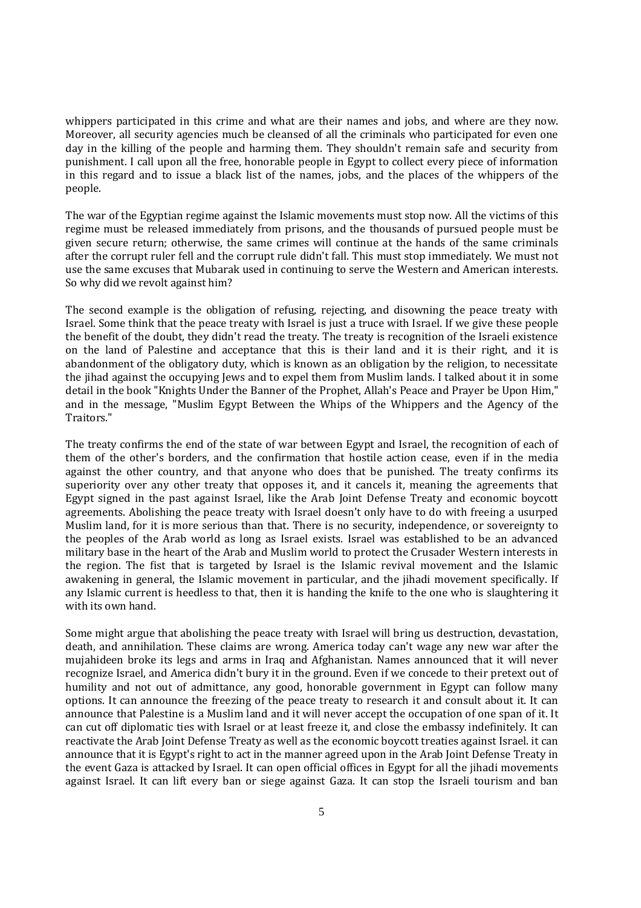whippers participated in this crime and what are their names and jobs, and where are they now. Moreover, all security agencies much be cleansed of all the criminals who participated for even one day in the killing of the people and harming them. They shouldn't remain safe and security from punishment. I call upon all the free, honorable people in Egypt to collect every piece of information in this regard and to issue a black list of the names, jobs, and the places of the whippers of the people.

The war of the Egyptian regime against the Islamic movements must stop now. All the victims of this regime must be released immediately from prisons, and the thousands of pursued people must be given secure return; otherwise, the same crimes will continue at the hands of the same criminals after the corrupt ruler fell and the corrupt rule didn't fall. This must stop immediately. We must not use the same excuses that Mubarak used in continuing to serve the Western and American interests. So why did we revolt against him?

The second example is the obligation of refusing, rejecting, and disowning the peace treaty with Israel. Some think that the peace treaty with Israel is just a truce with Israel. If we give these people the benefit of the doubt, they didn't read the treaty. The treaty is recognition of the Israeli existence on the land of Palestine and acceptance that this is their land and it is their right, and it is abandonment of the obligatory duty, which is known as an obligation by the religion, to necessitate the jihad against the occupying Jews and to expel them from Muslim lands. I talked about it in some detail in the book "Knights Under the Banner of the Prophet, Allah's Peace and Prayer be Upon Him," and in the message, "Muslim Egypt Between the Whips of the Whippers and the Agency of the Traitors."

The treaty confirms the end of the state of war between Egypt and Israel, the recognition of each of them of the other's borders, and the confirmation that hostile action cease, even if in the media against the other country, and that anyone who does that be punished. The treaty confirms its superiority over any other treaty that opposes it, and it cancels it, meaning the agreements that Egypt signed in the past against Israel, like the Arab Joint Defense Treaty and economic boycott agreements. Abolishing the peace treaty with Israel doesn't only have to do with freeing a usurped Muslim land, for it is more serious than that. There is no security, independence, or sovereignty to the peoples of the Arab world as long as Israel exists. Israel was established to be an advanced military base in the heart of the Arab and Muslim world to protect the Crusader Western interests in the region. The fist that is targeted by Israel is the Islamic revival movement and the Islamic awakening in general, the Islamic movement in particular, and the jihadi movement specifically. If any Islamic current is heedless to that, then it is handing the knife to the one who is slaughtering it with its own hand.

Some might argue that abolishing the peace treaty with Israel will bring us destruction, devastation, death, and annihilation. These claims are wrong. America today can't wage any new war after the mujahideen broke its legs and arms in Iraq and Afghanistan. Names announced that it will never recognize Israel, and America didn't bury it in the ground. Even if we concede to their pretext out of humility and not out of admittance, any good, honorable government in Egypt can follow many options. It can announce the freezing of the peace treaty to research it and consult about it. It can announce that Palestine is a Muslim land and it will never accept the occupation of one span of it. It can cut off diplomatic ties with Israel or at least freeze it, and close the embassy indefinitely. It can reactivate the Arab Joint Defense Treaty as well as the economic boycott treaties against Israel. it can announce that it is Egypt's right to act in the manner agreed upon in the Arab Joint Defense Treaty in the event Gaza is attacked by Israel. It can open official offices in Egypt for all the jihadi movements against Israel. It can lift every ban or siege against Gaza. It can stop the Israeli tourism and ban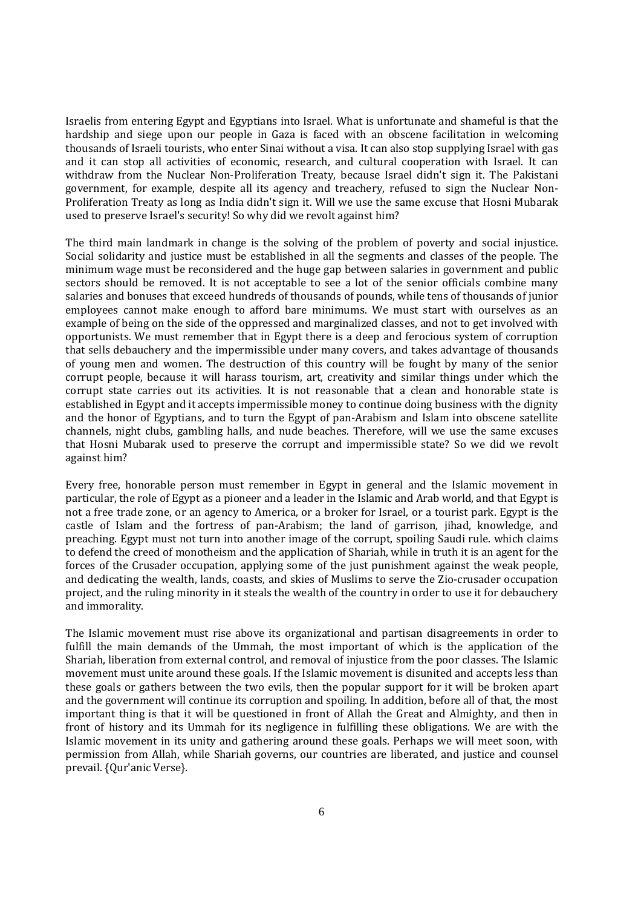Israelis from entering Egypt and Egyptians into Israel. What is unfortunate and shameful is that the hardship and siege upon our people in Gaza is faced with an obscene facilitation in welcoming thousands of Israeli tourists, who enter Sinai without a visa. It can also stop supplying Israel with gas and it can stop all activities of economic, research, and cultural cooperation with Israel. It can withdraw from the Nuclear Non-Proliferation Treaty, because Israel didn't sign it. The Pakistani government, for example, despite all its agency and treachery, refused to sign the Nuclear Non-Proliferation Treaty as long as India didn't sign it. Will we use the same excuse that Hosni Mubarak used to preserve Israel's security! So why did we revolt against him?

The third main landmark in change is the solving of the problem of poverty and social injustice. Social solidarity and justice must be established in all the segments and classes of the people. The minimum wage must be reconsidered and the huge gap between salaries in government and public sectors should be removed. It is not acceptable to see a lot of the senior officials combine many salaries and bonuses that exceed hundreds of thousands of pounds, while tens of thousands of junior employees cannot make enough to afford bare minimums. We must start with ourselves as an example of being on the side of the oppressed and marginalized classes, and not to get involved with opportunists. We must remember that in Egypt there is a deep and ferocious system of corruption that sells debauchery and the impermissible under many covers, and takes advantage of thousands of young men and women. The destruction of this country will be fought by many of the senior corrupt people, because it will harass tourism, art, creativity and similar things under which the corrupt state carries out its activities. It is not reasonable that a clean and honorable state is established in Egypt and it accepts impermissible money to continue doing business with the dignity and the honor of Egyptians, and to turn the Egypt of pan-Arabism and Islam into obscene satellite channels, night clubs, gambling halls, and nude beaches. Therefore, will we use the same excuses that Hosni Mubarak used to preserve the corrupt and impermissible state? So we did we revolt against him?

Every free, honorable person must remember in Egypt in general and the Islamic movement in particular, the role of Egypt as a pioneer and a leader in the Islamic and Arab world, and that Egypt is not a free trade zone, or an agency to America, or a broker for Israel, or a tourist park. Egypt is the castle of Islam and the fortress of pan-Arabism; the land of garrison, jihad, knowledge, and preaching. Egypt must not turn into another image of the corrupt, spoiling Saudi rule. which claims to defend the creed of monotheism and the application of Shariah, while in truth it is an agent for the forces of the Crusader occupation, applying some of the just punishment against the weak people, and dedicating the wealth, lands, coasts, and skies of Muslims to serve the Zio-crusader occupation project, and the ruling minority in it steals the wealth of the country in order to use it for debauchery and immorality.

The Islamic movement must rise above its organizational and partisan disagreements in order to fulfill the main demands of the Ummah, the most important of which is the application of the Shariah, liberation from external control, and removal of injustice from the poor classes. The Islamic movement must unite around these goals. If the Islamic movement is disunited and accepts less than these goals or gathers between the two evils, then the popular support for it will be broken apart and the government will continue its corruption and spoiling. In addition, before all of that, the most important thing is that it will be questioned in front of Allah the Great and Almighty, and then in front of history and its Ummah for its negligence in fulfilling these obligations. We are with the Islamic movement in its unity and gathering around these goals. Perhaps we will meet soon, with permission from Allah, while Shariah governs, our countries are liberated, and justice and counsel prevail. {Qur'anic Verse}.